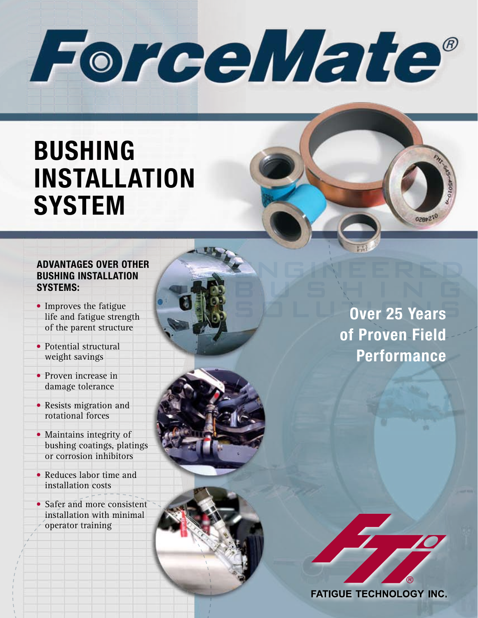ForceMate®

# **BUSHING INSTALLATION SYSTEM**

#### **ADVANTAGES OVER OTHER BUSHING INSTALLATION SYSTEMS:**

- **•** Improves the fatigue life and fatigue strength of the parent structure
- **•** Potential structural weight savings
- **•** Proven increase in damage tolerance
- **•** Resists migration and rotational forces
- **•** Maintains integrity of bushing coatings, platings or corrosion inhibitors
- **•** Reduces labor time and installation costs
- **•** Safer and more consistent installation with minimal operator training



2289210

ENGINEERED

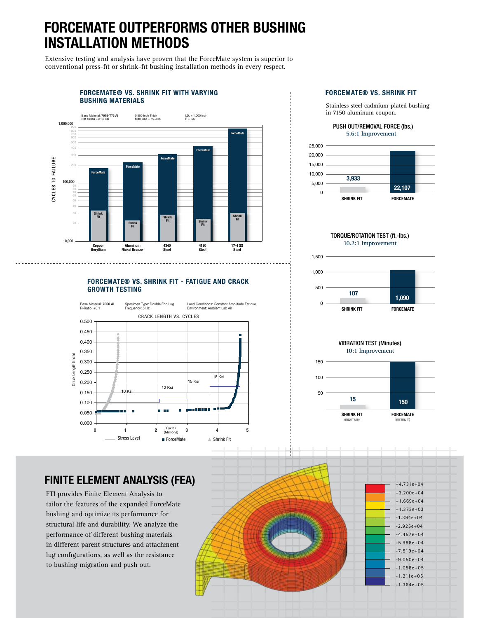## **FORCEMATE OUTPERFORMS OTHER BUSHING INSTALLATION METHODS**

Extensive testing and analysis have proven that the ForceMate system is superior to conventional press-fit or shrink-fit bushing installation methods in every respect.



#### **FORCEMATE® VS. SHRINK FIT - FATIGUE AND CRACK GROWTH TESTING**



#### **FORCEMATE® VS. SHRINK FIT**

Stainless steel cadmium-plated bushing in 7150 aluminum coupon.

PUSH OUT/REMOVAL FORCE (Ibs.) **5.6:1 Improvement**



TORQUE/ROTATION TEST (ft.-lbs.) **10.2:1 Improvement**



VIBRATION TEST (Minutes) **10:1 Improvement**



#### **FINITE ELEMENT ANALYSIS (FEA)**

FTI provides Finite Element Analysis to tailor the features of the expanded ForceMate bushing and optimize its performance for structural life and durability. We analyze the performance of different bushing materials in different parent structures and attachment lug configurations, as well as the resistance to bushing migration and push out.

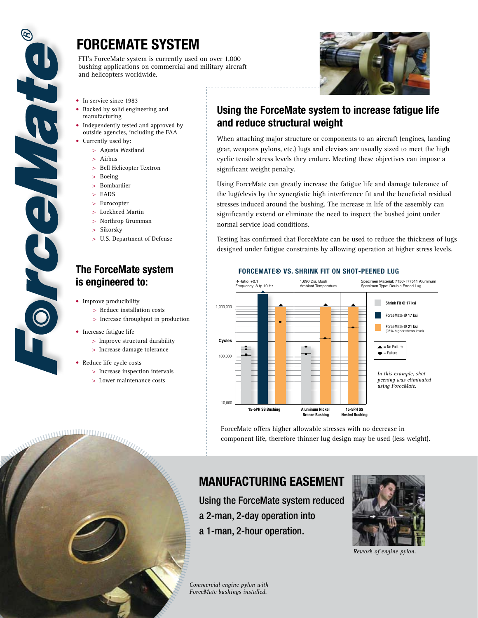

## **FORCEMATE SYSTEM**

FTI's ForceMate system is currently used on over 1,000 bushing applications on commercial and military aircraft and helicopters worldwide.



- **•** In service since 1983
- **•** Backed by solid engineering and manufacturing
- **•** Independently tested and approved by outside agencies, including the FAA
- **•** Currently used by:
	- > Agusta Westland
	- > Airbus
	- > Bell Helicopter Textron
	- > Boeing
	- > Bombardier
	- > EADS
	- > Eurocopter
	- > Lockheed Martin
	- > Northrop Grumman
	- > Sikorsky
	- > U.S. Department of Defense

#### **The ForceMate system is engineered to:**

- **•** Improve producibility
	- > Reduce installation costs
	- > Increase throughput in production
- **•** Increase fatigue life
	- > Improve structural durability
	- > Increase damage tolerance
- **•** Reduce life cycle costs

**WARD AND RELEASED FOR THE AIR** 

- > Increase inspection intervals
- > Lower maintenance costs

#### **Using the ForceMate system to increase fatigue life and reduce structural weight**

When attaching major structure or components to an aircraft (engines, landing gear, weapons pylons, etc.) lugs and clevises are usually sized to meet the high cyclic tensile stress levels they endure. Meeting these objectives can impose a significant weight penalty.

Using ForceMate can greatly increase the fatigue life and damage tolerance of the lug/clevis by the synergistic high interference fit and the beneficial residual stresses induced around the bushing. The increase in life of the assembly can significantly extend or eliminate the need to inspect the bushed joint under normal service load conditions.

Testing has confirmed that ForceMate can be used to reduce the thickness of lugs designed under fatigue constraints by allowing operation at higher stress levels.



**FORCEMATE® VS. SHRINK FIT ON SHOT-PEENED LUG**

ForceMate offers higher allowable stresses with no decrease in component life, therefore thinner lug design may be used (less weight).

## **MANUFACTURING EASEMENT**

Using the ForceMate system reduced a 2-man, 2-day operation into a 1-man, 2-hour operation.



*Rework of engine pylon.*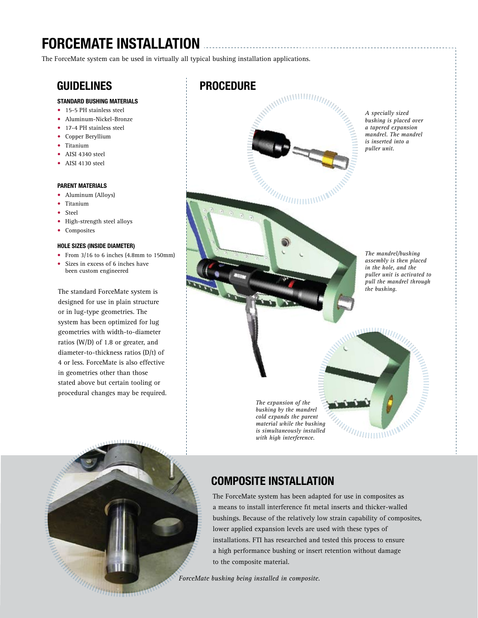## **FORCEMATE INSTALLATION**

The ForceMate system can be used in virtually all typical bushing installation applications.

#### **STANDARD BUSHING MATERIALS**

- **•** 15-5 PH stainless steel
- **•** Aluminum-Nickel-Bronze
- **•** 17-4 PH stainless steel
- **•** Copper Beryllium
- **•** Titanium
- **•** AISI 4340 steel
- **•** AISI 4130 steel

#### **PARENT MATERIALS**

- **•** Aluminum (Alloys)
- **•** Titanium
- **•** Steel
- **•** High-strength steel alloys
- **•** Composites

#### **HOLE SIZES (INSIDE DIAMETER)**

- **•** From 3/16 to 6 inches (4.8mm to 150mm)
- **•** Sizes in excess of 6 inches have been custom engineered

The standard ForceMate system is designed for use in plain structure or in lug-type geometries. The system has been optimized for lug geometries with width-to-diameter ratios (W/D) of 1.8 or greater, and diameter-to-thickness ratios (D/t) of 4 or less. ForceMate is also effective in geometries other than those stated above but certain tooling or procedural changes may be required.

**GUIDELINES PROCEDURE**



*cold expands the parent material while the bushing is simultaneously installed with high interference.*



### **COMPOSITE INSTALLATION**

The ForceMate system has been adapted for use in composites as a means to install interference fit metal inserts and thicker-walled bushings. Because of the relatively low strain capability of composites, lower applied expansion levels are used with these types of installations. FTI has researched and tested this process to ensure a high performance bushing or insert retention without damage to the composite material.

*ForceMate bushing being installed in composite.*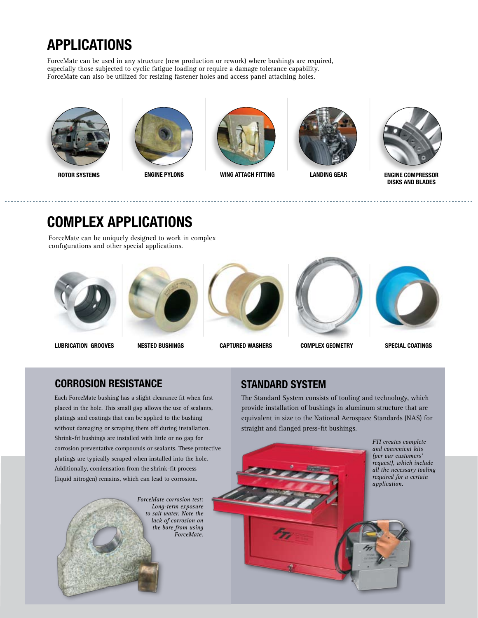## **APPLICATIONS**

ForceMate can be used in any structure (new production or rework) where bushings are required, especially those subjected to cyclic fatigue loading or require a damage tolerance capability. ForceMate can also be utilized for resizing fastener holes and access panel attaching holes.







**ROTOR SYSTEMS ENGINE PYLONS WING ATTACH FITTING LANDING GEAR**





**ENGINE COMPRESSOR DISKS AND BLADES**

## **COMPLEX APPLICATIONS**

ForceMate can be uniquely designed to work in complex configurations and other special applications.





**LUBRICATION GROOVES NESTED BUSHINGS CAPTURED WASHERS COMPLEX GEOMETRY SPECIAL COATINGS**









### **CORROSION RESISTANCE**

Each ForceMate bushing has a slight clearance fit when first placed in the hole. This small gap allows the use of sealants, platings and coatings that can be applied to the bushing without damaging or scraping them off during installation. Shrink-fit bushings are installed with little or no gap for corrosion preventative compounds or sealants. These protective platings are typically scraped when installed into the hole. Additionally, condensation from the shrink-fit process (liquid nitrogen) remains, which can lead to corrosion.



## **STANDARD SYSTEM**

The Standard System consists of tooling and technology, which provide installation of bushings in aluminum structure that are equivalent in size to the National Aerospace Standards (NAS) for straight and flanged press-fit bushings.



*FTI creates complete and convenient kits (per our customers' request), which include all the necessary tooling required for a certain*